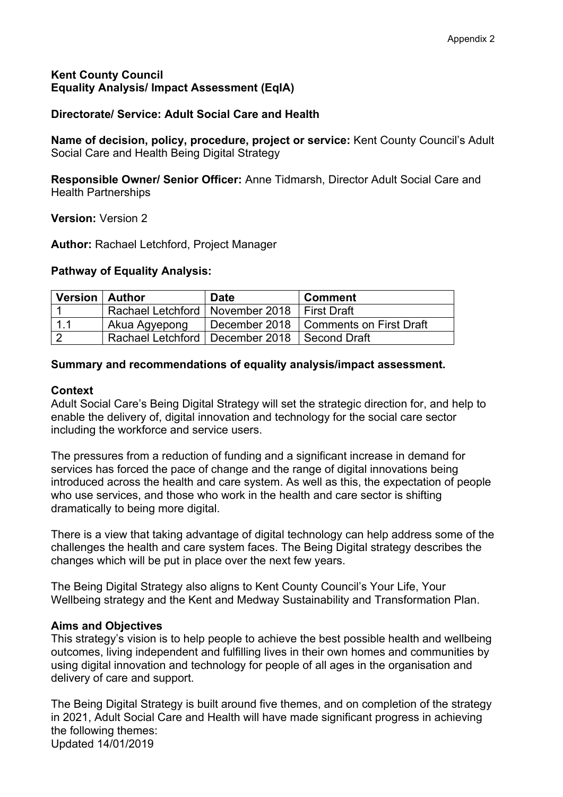# **Kent County Council Equality Analysis/ Impact Assessment (EqIA)**

# **Directorate/ Service: Adult Social Care and Health**

**Name of decision, policy, procedure, project or service:** Kent County Council's Adult Social Care and Health Being Digital Strategy

**Responsible Owner/ Senior Officer:** Anne Tidmarsh, Director Adult Social Care and Health Partnerships

**Version:** Version 2

**Author:** Rachael Letchford, Project Manager

## **Pathway of Equality Analysis:**

| Version   Author |                                                  | Date | <b>Comment</b>                          |
|------------------|--------------------------------------------------|------|-----------------------------------------|
|                  | Rachael Letchford   November 2018   First Draft  |      |                                         |
| 1.1              | Akua Agyepong                                    |      | December 2018   Comments on First Draft |
|                  | Rachael Letchford   December 2018   Second Draft |      |                                         |

## **Summary and recommendations of equality analysis/impact assessment.**

## **Context**

Adult Social Care's Being Digital Strategy will set the strategic direction for, and help to enable the delivery of, digital innovation and technology for the social care sector including the workforce and service users.

The pressures from a reduction of funding and a significant increase in demand for services has forced the pace of change and the range of digital innovations being introduced across the health and care system. As well as this, the expectation of people who use services, and those who work in the health and care sector is shifting dramatically to being more digital.

There is a view that taking advantage of digital technology can help address some of the challenges the health and care system faces. The Being Digital strategy describes the changes which will be put in place over the next few years.

The Being Digital Strategy also aligns to Kent County Council's Your Life, Your Wellbeing strategy and the Kent and Medway Sustainability and Transformation Plan.

## **Aims and Objectives**

This strategy's vision is to help people to achieve the best possible health and wellbeing outcomes, living independent and fulfilling lives in their own homes and communities by using digital innovation and technology for people of all ages in the organisation and delivery of care and support.

Updated 14/01/2019 The Being Digital Strategy is built around five themes, and on completion of the strategy in 2021, Adult Social Care and Health will have made significant progress in achieving the following themes: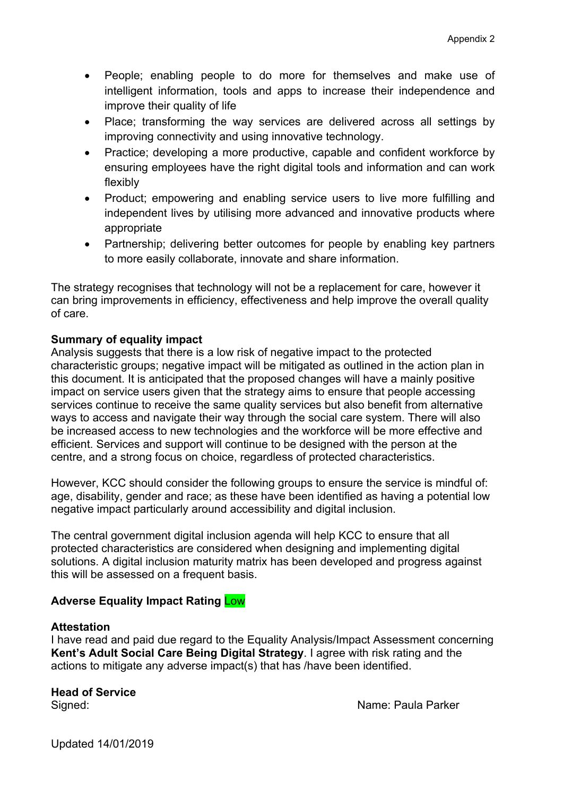- People; enabling people to do more for themselves and make use of intelligent information, tools and apps to increase their independence and improve their quality of life
- Place; transforming the way services are delivered across all settings by improving connectivity and using innovative technology.
- Practice; developing a more productive, capable and confident workforce by ensuring employees have the right digital tools and information and can work flexibly
- Product; empowering and enabling service users to live more fulfilling and independent lives by utilising more advanced and innovative products where appropriate
- Partnership: delivering better outcomes for people by enabling key partners to more easily collaborate, innovate and share information.

The strategy recognises that technology will not be a replacement for care, however it can bring improvements in efficiency, effectiveness and help improve the overall quality of care.

# **Summary of equality impact**

Analysis suggests that there is a low risk of negative impact to the protected characteristic groups; negative impact will be mitigated as outlined in the action plan in this document. It is anticipated that the proposed changes will have a mainly positive impact on service users given that the strategy aims to ensure that people accessing services continue to receive the same quality services but also benefit from alternative ways to access and navigate their way through the social care system. There will also be increased access to new technologies and the workforce will be more effective and efficient. Services and support will continue to be designed with the person at the centre, and a strong focus on choice, regardless of protected characteristics.

However, KCC should consider the following groups to ensure the service is mindful of: age, disability, gender and race; as these have been identified as having a potential low negative impact particularly around accessibility and digital inclusion.

The central government digital inclusion agenda will help KCC to ensure that all protected characteristics are considered when designing and implementing digital solutions. A digital inclusion maturity matrix has been developed and progress against this will be assessed on a frequent basis.

# **Adverse Equality Impact Rating** Low

## **Attestation**

I have read and paid due regard to the Equality Analysis/Impact Assessment concerning **Kent's Adult Social Care Being Digital Strategy**. I agree with risk rating and the actions to mitigate any adverse impact(s) that has /have been identified.

# **Head of Service**

Signed: Name: Paula Parker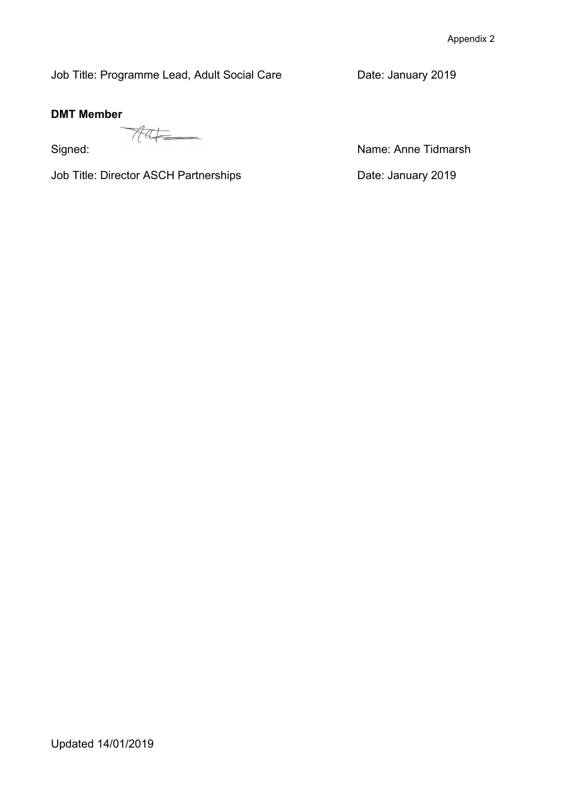Job Title: Programme Lead, Adult Social Care **Date: January 2019** 

# **DMT Member**

Job Title: Director ASCH Partnerships **Date: January 2019** 

Signed: Name: Anne Tidmarsh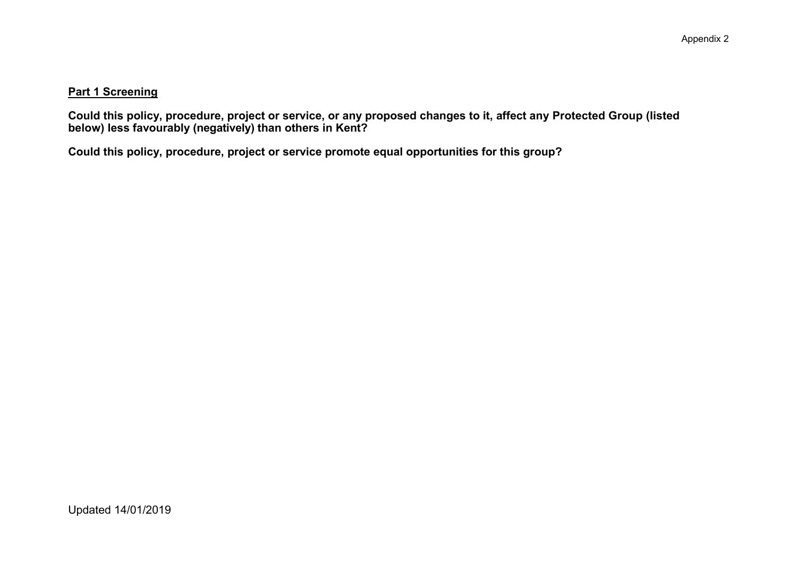## **Part 1 Screening**

Could this policy, procedure, project or service, or any proposed changes to it, affect any Protected Group (listed **below) less favourably (negatively) than others in Kent?**

**Could this policy, procedure, project or service promote equal opportunities for this group?**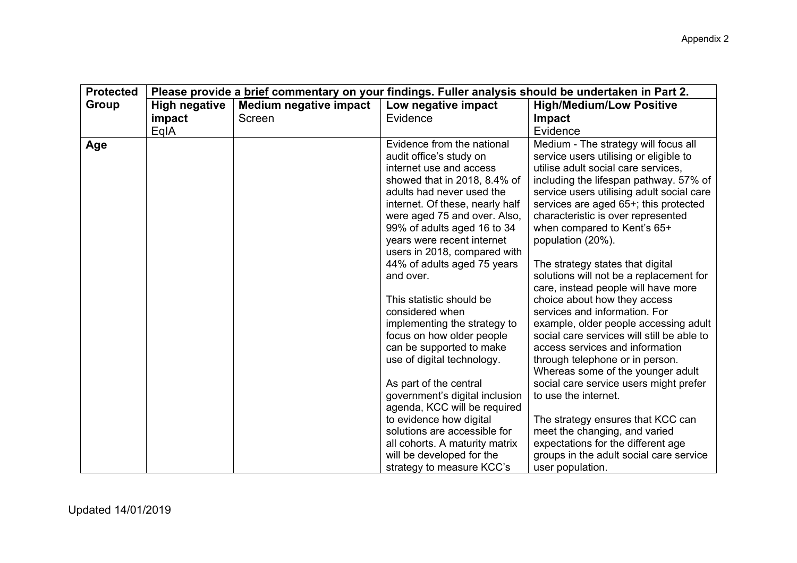| <b>Protected</b> | Please provide a brief commentary on your findings. Fuller analysis should be undertaken in Part 2. |                               |                                                                                                                                                                                                                                                                                                                                                                                                                                                                                                                                 |                                                                                                                                                                                                                                                                                                                                                                                                                                                                                                                                                                                                                                                                                                     |
|------------------|-----------------------------------------------------------------------------------------------------|-------------------------------|---------------------------------------------------------------------------------------------------------------------------------------------------------------------------------------------------------------------------------------------------------------------------------------------------------------------------------------------------------------------------------------------------------------------------------------------------------------------------------------------------------------------------------|-----------------------------------------------------------------------------------------------------------------------------------------------------------------------------------------------------------------------------------------------------------------------------------------------------------------------------------------------------------------------------------------------------------------------------------------------------------------------------------------------------------------------------------------------------------------------------------------------------------------------------------------------------------------------------------------------------|
| <b>Group</b>     | <b>High negative</b>                                                                                | <b>Medium negative impact</b> | Low negative impact                                                                                                                                                                                                                                                                                                                                                                                                                                                                                                             | <b>High/Medium/Low Positive</b>                                                                                                                                                                                                                                                                                                                                                                                                                                                                                                                                                                                                                                                                     |
|                  | impact                                                                                              | Screen                        | Evidence                                                                                                                                                                                                                                                                                                                                                                                                                                                                                                                        | <b>Impact</b>                                                                                                                                                                                                                                                                                                                                                                                                                                                                                                                                                                                                                                                                                       |
|                  | EqIA                                                                                                |                               |                                                                                                                                                                                                                                                                                                                                                                                                                                                                                                                                 | Evidence                                                                                                                                                                                                                                                                                                                                                                                                                                                                                                                                                                                                                                                                                            |
| Age              |                                                                                                     |                               | Evidence from the national<br>audit office's study on<br>internet use and access<br>showed that in 2018, 8.4% of<br>adults had never used the<br>internet. Of these, nearly half<br>were aged 75 and over. Also,<br>99% of adults aged 16 to 34<br>years were recent internet<br>users in 2018, compared with<br>44% of adults aged 75 years<br>and over.<br>This statistic should be<br>considered when<br>implementing the strategy to<br>focus on how older people<br>can be supported to make<br>use of digital technology. | Medium - The strategy will focus all<br>service users utilising or eligible to<br>utilise adult social care services,<br>including the lifespan pathway. 57% of<br>service users utilising adult social care<br>services are aged 65+; this protected<br>characteristic is over represented<br>when compared to Kent's 65+<br>population (20%).<br>The strategy states that digital<br>solutions will not be a replacement for<br>care, instead people will have more<br>choice about how they access<br>services and information. For<br>example, older people accessing adult<br>social care services will still be able to<br>access services and information<br>through telephone or in person. |
|                  |                                                                                                     |                               | As part of the central<br>government's digital inclusion<br>agenda, KCC will be required<br>to evidence how digital<br>solutions are accessible for<br>all cohorts. A maturity matrix<br>will be developed for the<br>strategy to measure KCC's                                                                                                                                                                                                                                                                                 | Whereas some of the younger adult<br>social care service users might prefer<br>to use the internet.<br>The strategy ensures that KCC can<br>meet the changing, and varied<br>expectations for the different age<br>groups in the adult social care service<br>user population.                                                                                                                                                                                                                                                                                                                                                                                                                      |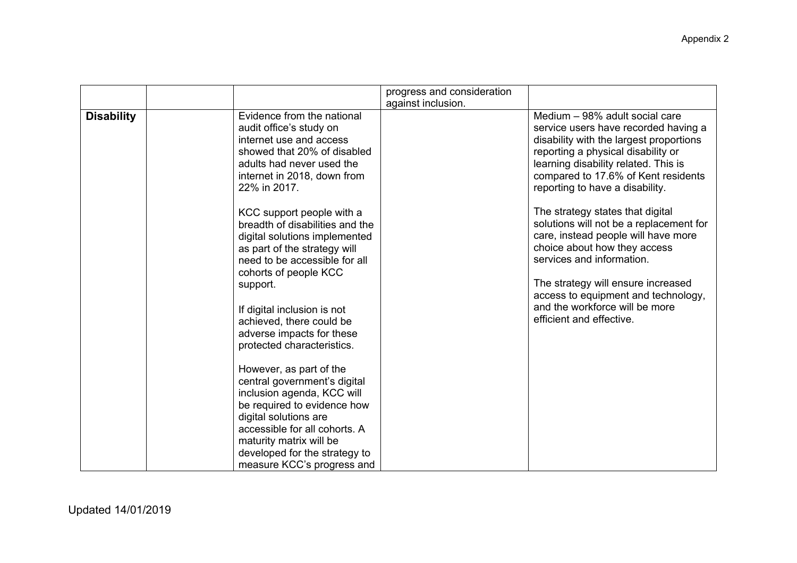|                   |                                                                                                                                                                                                                                                                                                                                                                                                                                                                            | progress and consideration |                                                                                                                                                                                                                                                                                                                            |
|-------------------|----------------------------------------------------------------------------------------------------------------------------------------------------------------------------------------------------------------------------------------------------------------------------------------------------------------------------------------------------------------------------------------------------------------------------------------------------------------------------|----------------------------|----------------------------------------------------------------------------------------------------------------------------------------------------------------------------------------------------------------------------------------------------------------------------------------------------------------------------|
| <b>Disability</b> | Evidence from the national<br>audit office's study on<br>internet use and access<br>showed that 20% of disabled<br>adults had never used the<br>internet in 2018, down from<br>22% in 2017.                                                                                                                                                                                                                                                                                | against inclusion.         | Medium - 98% adult social care<br>service users have recorded having a<br>disability with the largest proportions<br>reporting a physical disability or<br>learning disability related. This is<br>compared to 17.6% of Kent residents<br>reporting to have a disability.                                                  |
|                   | KCC support people with a<br>breadth of disabilities and the<br>digital solutions implemented<br>as part of the strategy will<br>need to be accessible for all<br>cohorts of people KCC<br>support.<br>If digital inclusion is not<br>achieved, there could be<br>adverse impacts for these<br>protected characteristics.<br>However, as part of the<br>central government's digital<br>inclusion agenda, KCC will<br>be required to evidence how<br>digital solutions are |                            | The strategy states that digital<br>solutions will not be a replacement for<br>care, instead people will have more<br>choice about how they access<br>services and information.<br>The strategy will ensure increased<br>access to equipment and technology,<br>and the workforce will be more<br>efficient and effective. |
|                   | accessible for all cohorts. A<br>maturity matrix will be<br>developed for the strategy to<br>measure KCC's progress and                                                                                                                                                                                                                                                                                                                                                    |                            |                                                                                                                                                                                                                                                                                                                            |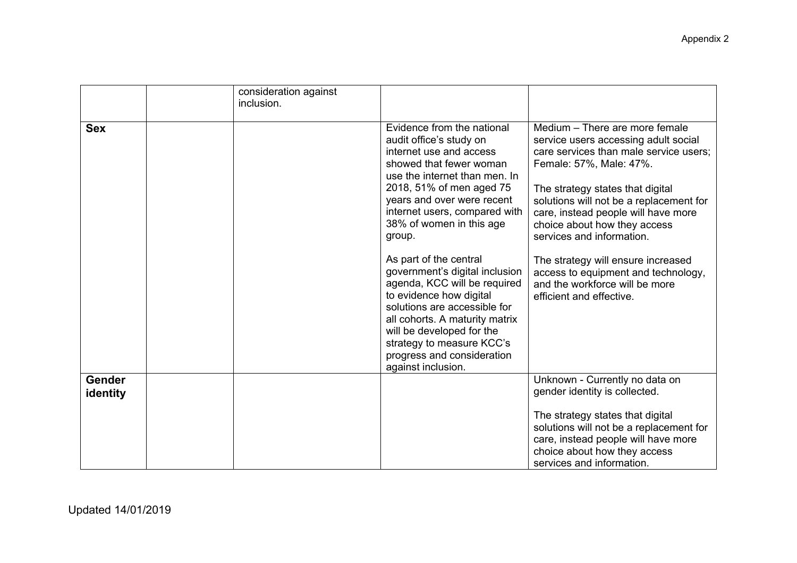|                    | consideration against<br>inclusion. |                                                                                                                                                                                                                                                                                                                                                                                                                                                                                                                                                                                      |                                                                                                                                                                                                                                                                                                                                                                                                                                                                           |
|--------------------|-------------------------------------|--------------------------------------------------------------------------------------------------------------------------------------------------------------------------------------------------------------------------------------------------------------------------------------------------------------------------------------------------------------------------------------------------------------------------------------------------------------------------------------------------------------------------------------------------------------------------------------|---------------------------------------------------------------------------------------------------------------------------------------------------------------------------------------------------------------------------------------------------------------------------------------------------------------------------------------------------------------------------------------------------------------------------------------------------------------------------|
| <b>Sex</b>         |                                     | Evidence from the national<br>audit office's study on<br>internet use and access<br>showed that fewer woman<br>use the internet than men. In<br>2018, 51% of men aged 75<br>years and over were recent<br>internet users, compared with<br>38% of women in this age<br>group.<br>As part of the central<br>government's digital inclusion<br>agenda, KCC will be required<br>to evidence how digital<br>solutions are accessible for<br>all cohorts. A maturity matrix<br>will be developed for the<br>strategy to measure KCC's<br>progress and consideration<br>against inclusion. | Medium - There are more female<br>service users accessing adult social<br>care services than male service users;<br>Female: 57%, Male: 47%.<br>The strategy states that digital<br>solutions will not be a replacement for<br>care, instead people will have more<br>choice about how they access<br>services and information.<br>The strategy will ensure increased<br>access to equipment and technology,<br>and the workforce will be more<br>efficient and effective. |
| Gender<br>identity |                                     |                                                                                                                                                                                                                                                                                                                                                                                                                                                                                                                                                                                      | Unknown - Currently no data on<br>gender identity is collected.<br>The strategy states that digital<br>solutions will not be a replacement for<br>care, instead people will have more<br>choice about how they access<br>services and information.                                                                                                                                                                                                                        |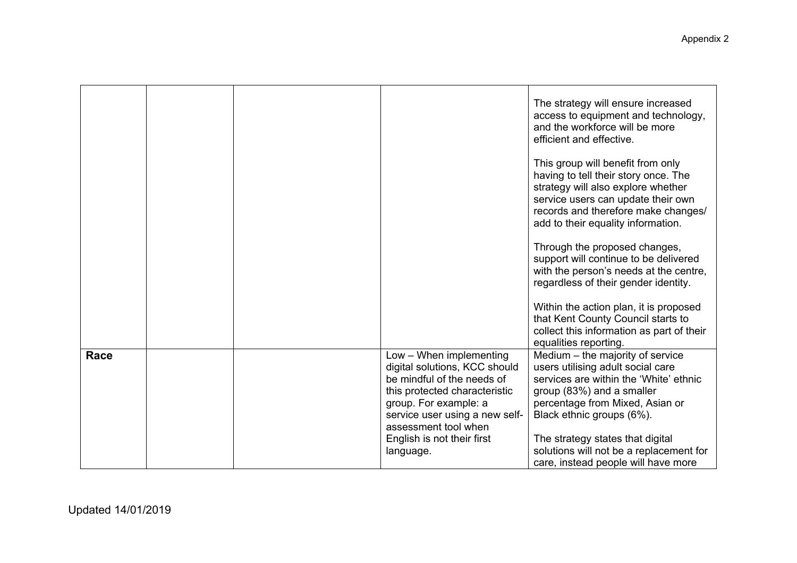|      |  |                                                                                                                                                                                                                                                       | The strategy will ensure increased<br>access to equipment and technology,<br>and the workforce will be more<br>efficient and effective.<br>This group will benefit from only<br>having to tell their story once. The<br>strategy will also explore whether<br>service users can update their own<br>records and therefore make changes/<br>add to their equality information.<br>Through the proposed changes,<br>support will continue to be delivered<br>with the person's needs at the centre,<br>regardless of their gender identity. |
|------|--|-------------------------------------------------------------------------------------------------------------------------------------------------------------------------------------------------------------------------------------------------------|-------------------------------------------------------------------------------------------------------------------------------------------------------------------------------------------------------------------------------------------------------------------------------------------------------------------------------------------------------------------------------------------------------------------------------------------------------------------------------------------------------------------------------------------|
|      |  |                                                                                                                                                                                                                                                       | Within the action plan, it is proposed<br>that Kent County Council starts to<br>collect this information as part of their<br>equalities reporting.                                                                                                                                                                                                                                                                                                                                                                                        |
| Race |  | Low - When implementing<br>digital solutions, KCC should<br>be mindful of the needs of<br>this protected characteristic<br>group. For example: a<br>service user using a new self-<br>assessment tool when<br>English is not their first<br>language. | Medium - the majority of service<br>users utilising adult social care<br>services are within the 'White' ethnic<br>group (83%) and a smaller<br>percentage from Mixed, Asian or<br>Black ethnic groups (6%).<br>The strategy states that digital<br>solutions will not be a replacement for<br>care, instead people will have more                                                                                                                                                                                                        |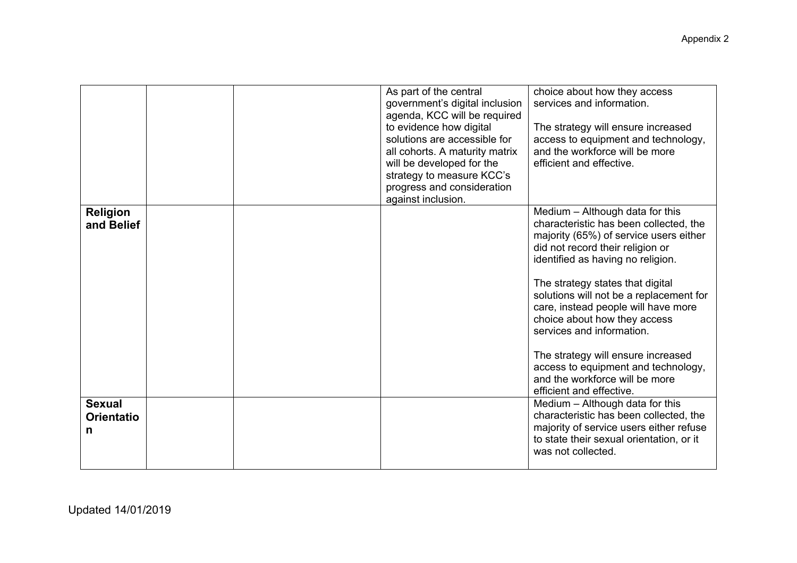|                                         |  | As part of the central<br>government's digital inclusion<br>agenda, KCC will be required<br>to evidence how digital<br>solutions are accessible for<br>all cohorts. A maturity matrix<br>will be developed for the<br>strategy to measure KCC's<br>progress and consideration<br>against inclusion. | choice about how they access<br>services and information.<br>The strategy will ensure increased<br>access to equipment and technology,<br>and the workforce will be more<br>efficient and effective.                                                                                                                                                                                                                                                                                                                       |
|-----------------------------------------|--|-----------------------------------------------------------------------------------------------------------------------------------------------------------------------------------------------------------------------------------------------------------------------------------------------------|----------------------------------------------------------------------------------------------------------------------------------------------------------------------------------------------------------------------------------------------------------------------------------------------------------------------------------------------------------------------------------------------------------------------------------------------------------------------------------------------------------------------------|
| Religion<br>and Belief                  |  |                                                                                                                                                                                                                                                                                                     | Medium - Although data for this<br>characteristic has been collected, the<br>majority (65%) of service users either<br>did not record their religion or<br>identified as having no religion.<br>The strategy states that digital<br>solutions will not be a replacement for<br>care, instead people will have more<br>choice about how they access<br>services and information.<br>The strategy will ensure increased<br>access to equipment and technology,<br>and the workforce will be more<br>efficient and effective. |
| <b>Sexual</b><br><b>Orientatio</b><br>n |  |                                                                                                                                                                                                                                                                                                     | Medium - Although data for this<br>characteristic has been collected, the<br>majority of service users either refuse<br>to state their sexual orientation, or it<br>was not collected.                                                                                                                                                                                                                                                                                                                                     |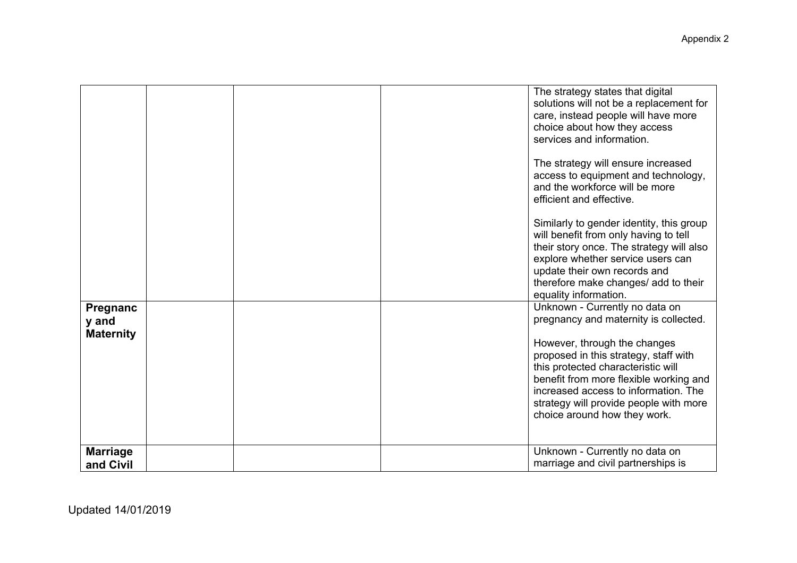|                                       |  | The strategy states that digital<br>solutions will not be a replacement for<br>care, instead people will have more<br>choice about how they access<br>services and information.<br>The strategy will ensure increased<br>access to equipment and technology,<br>and the workforce will be more<br>efficient and effective.<br>Similarly to gender identity, this group<br>will benefit from only having to tell<br>their story once. The strategy will also<br>explore whether service users can<br>update their own records and<br>therefore make changes/ add to their<br>equality information. |
|---------------------------------------|--|---------------------------------------------------------------------------------------------------------------------------------------------------------------------------------------------------------------------------------------------------------------------------------------------------------------------------------------------------------------------------------------------------------------------------------------------------------------------------------------------------------------------------------------------------------------------------------------------------|
| Pregnanc<br>y and<br><b>Maternity</b> |  | Unknown - Currently no data on<br>pregnancy and maternity is collected.<br>However, through the changes<br>proposed in this strategy, staff with<br>this protected characteristic will<br>benefit from more flexible working and<br>increased access to information. The<br>strategy will provide people with more<br>choice around how they work.                                                                                                                                                                                                                                                |
| <b>Marriage</b><br>and Civil          |  | Unknown - Currently no data on<br>marriage and civil partnerships is                                                                                                                                                                                                                                                                                                                                                                                                                                                                                                                              |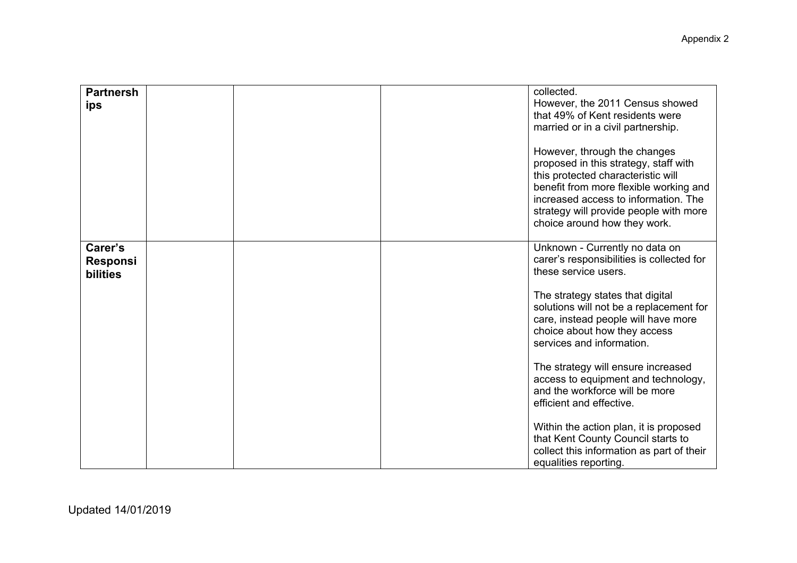| <b>Partnersh</b><br>ips                       | collected.<br>However, the 2011 Census showed<br>that 49% of Kent residents were<br>married or in a civil partnership.<br>However, through the changes<br>proposed in this strategy, staff with<br>this protected characteristic will<br>benefit from more flexible working and<br>increased access to information. The<br>strategy will provide people with more<br>choice around how they work. |
|-----------------------------------------------|---------------------------------------------------------------------------------------------------------------------------------------------------------------------------------------------------------------------------------------------------------------------------------------------------------------------------------------------------------------------------------------------------|
| Carer's<br><b>Responsi</b><br><b>bilities</b> | Unknown - Currently no data on<br>carer's responsibilities is collected for<br>these service users.                                                                                                                                                                                                                                                                                               |
|                                               | The strategy states that digital<br>solutions will not be a replacement for<br>care, instead people will have more<br>choice about how they access<br>services and information.                                                                                                                                                                                                                   |
|                                               | The strategy will ensure increased<br>access to equipment and technology,<br>and the workforce will be more<br>efficient and effective.                                                                                                                                                                                                                                                           |
|                                               | Within the action plan, it is proposed<br>that Kent County Council starts to<br>collect this information as part of their<br>equalities reporting.                                                                                                                                                                                                                                                |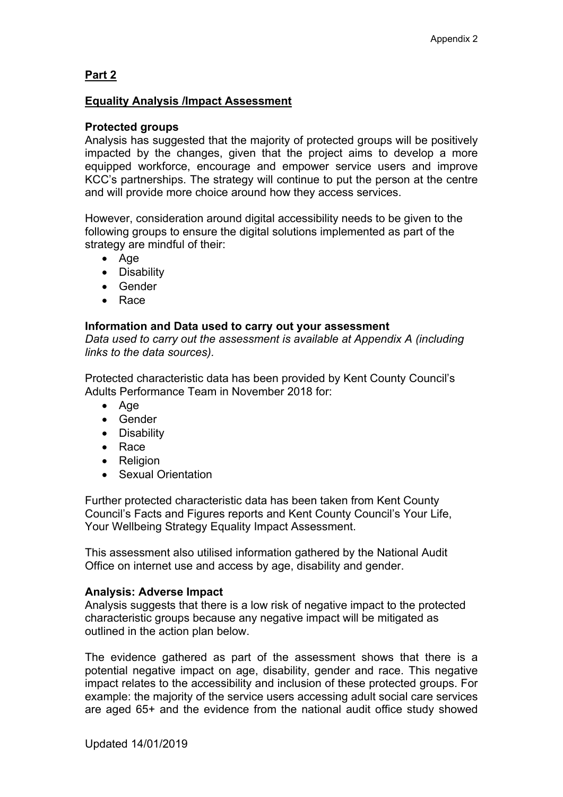# **Part 2**

## **Equality Analysis /Impact Assessment**

### **Protected groups**

Analysis has suggested that the majority of protected groups will be positively impacted by the changes, given that the project aims to develop a more equipped workforce, encourage and empower service users and improve KCC's partnerships. The strategy will continue to put the person at the centre and will provide more choice around how they access services.

However, consideration around digital accessibility needs to be given to the following groups to ensure the digital solutions implemented as part of the strategy are mindful of their:

- Age
- Disability
- **•** Gender
- Race

## **Information and Data used to carry out your assessment**

*Data used to carry out the assessment is available at Appendix A (including links to the data sources).*

Protected characteristic data has been provided by Kent County Council's Adults Performance Team in November 2018 for:

- Age
- Gender
- Disability
- Race
- Religion
- Sexual Orientation

Further protected characteristic data has been taken from Kent County Council's Facts and Figures reports and Kent County Council's Your Life, Your Wellbeing Strategy Equality Impact Assessment.

This assessment also utilised information gathered by the National Audit Office on internet use and access by age, disability and gender.

### **Analysis: Adverse Impact**

Analysis suggests that there is a low risk of negative impact to the protected characteristic groups because any negative impact will be mitigated as outlined in the action plan below.

The evidence gathered as part of the assessment shows that there is a potential negative impact on age, disability, gender and race. This negative impact relates to the accessibility and inclusion of these protected groups. For example: the majority of the service users accessing adult social care services are aged 65+ and the evidence from the national audit office study showed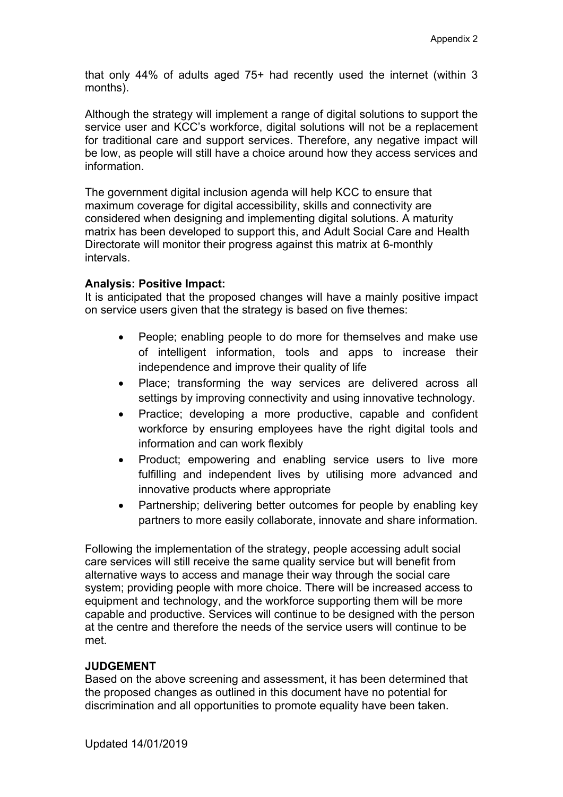that only 44% of adults aged 75+ had recently used the internet (within 3 months).

Although the strategy will implement a range of digital solutions to support the service user and KCC's workforce, digital solutions will not be a replacement for traditional care and support services. Therefore, any negative impact will be low, as people will still have a choice around how they access services and information.

The government digital inclusion agenda will help KCC to ensure that maximum coverage for digital accessibility, skills and connectivity are considered when designing and implementing digital solutions. A maturity matrix has been developed to support this, and Adult Social Care and Health Directorate will monitor their progress against this matrix at 6-monthly intervals.

## **Analysis: Positive Impact:**

It is anticipated that the proposed changes will have a mainly positive impact on service users given that the strategy is based on five themes:

- People; enabling people to do more for themselves and make use of intelligent information, tools and apps to increase their independence and improve their quality of life
- Place; transforming the way services are delivered across all settings by improving connectivity and using innovative technology.
- Practice; developing a more productive, capable and confident workforce by ensuring employees have the right digital tools and information and can work flexibly
- Product; empowering and enabling service users to live more fulfilling and independent lives by utilising more advanced and innovative products where appropriate
- Partnership; delivering better outcomes for people by enabling key partners to more easily collaborate, innovate and share information.

Following the implementation of the strategy, people accessing adult social care services will still receive the same quality service but will benefit from alternative ways to access and manage their way through the social care system; providing people with more choice. There will be increased access to equipment and technology, and the workforce supporting them will be more capable and productive. Services will continue to be designed with the person at the centre and therefore the needs of the service users will continue to be met.

# **JUDGEMENT**

Based on the above screening and assessment, it has been determined that the proposed changes as outlined in this document have no potential for discrimination and all opportunities to promote equality have been taken.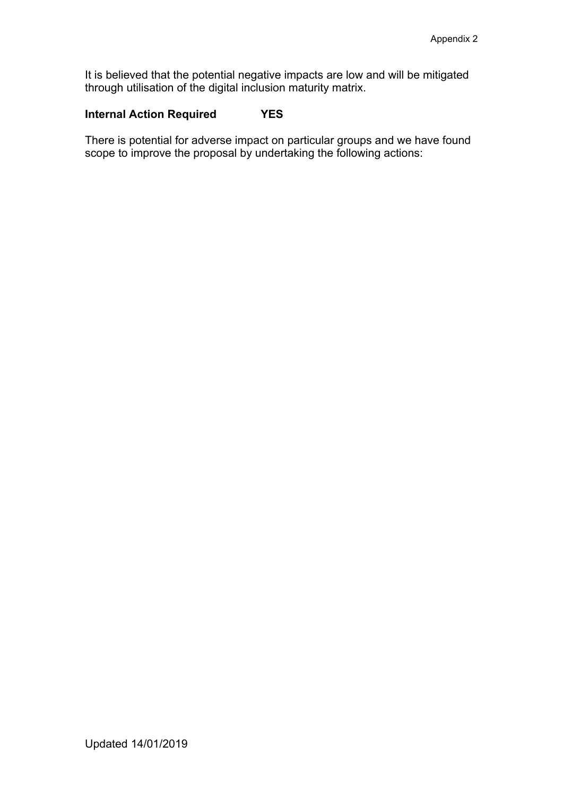It is believed that the potential negative impacts are low and will be mitigated through utilisation of the digital inclusion maturity matrix.

# **Internal Action Required YES**

There is potential for adverse impact on particular groups and we have found scope to improve the proposal by undertaking the following actions: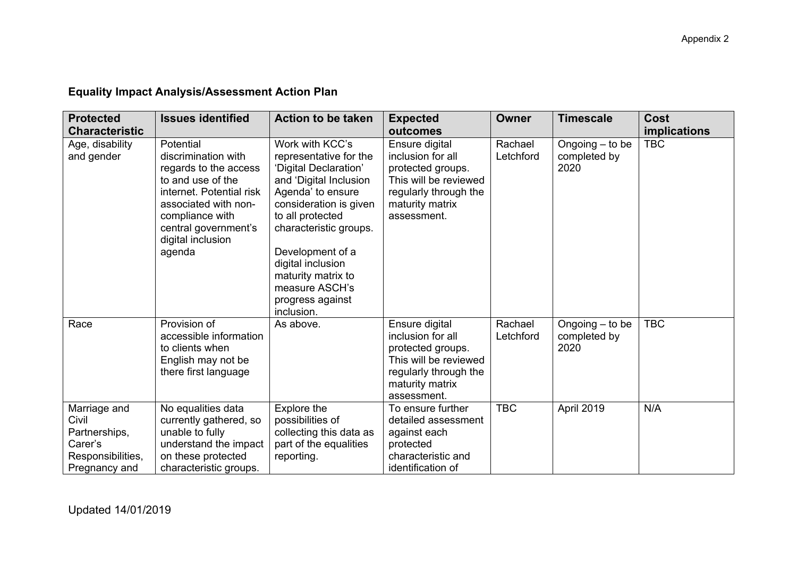#### **Protected Characteristic Issues identified Action to be taken Expected outcomes Owner Timescale Cost implications** Age, disability and gender Potential discrimination with regards to the access to and use of the internet. Potential risk associated with noncompliance with central government's digital inclusion agenda Work with KCC's representative for the 'Digital Declaration' and 'Digital Inclusion Agenda' to ensure consideration is given to all protected characteristic groups. Development of a digital inclusion maturity matrix to measure ASCH's progress against inclusion. Ensure digital inclusion for all protected groups. This will be reviewed regularly through the maturity matrix assessment. Rachael Letchford Ongoing – to be completed by 2020 TBC Race Provision of accessible information to clients when English may not be there first language As above. Ensure digital inclusion for all protected groups. This will be reviewed regularly through the maturity matrix assessment. Rachael Letchford Ongoing – to be completed by 2020 TBC Marriage and Civil Partnerships, Carer's Responsibilities, Pregnancy and No equalities data currently gathered, so unable to fully understand the impact on these protected characteristic groups. Explore the possibilities of collecting this data as part of the equalities reporting. To ensure further detailed assessment against each protected characteristic and identification of TBC April 2019 N/A

## **Equality Impact Analysis/Assessment Action Plan**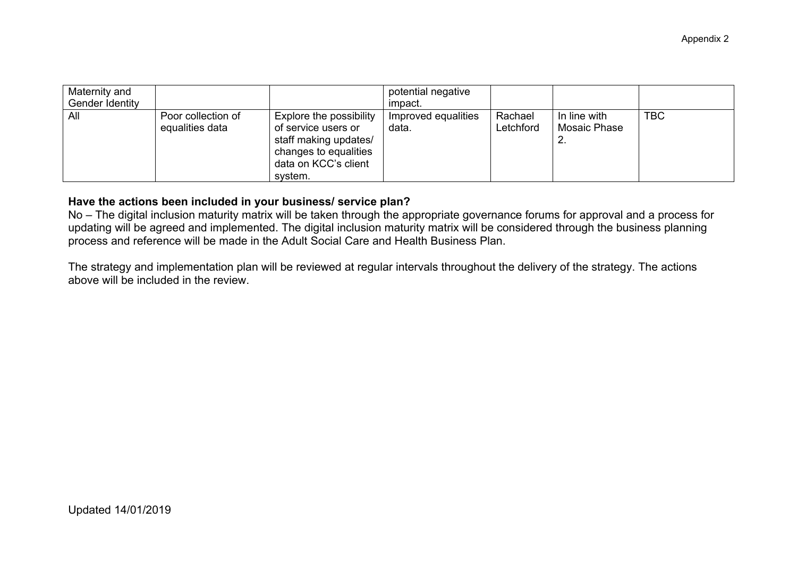| Maternity and<br>Gender Identity |                                       |                                                                                                                                     | potential negative<br>impact. |                      |                                    |            |
|----------------------------------|---------------------------------------|-------------------------------------------------------------------------------------------------------------------------------------|-------------------------------|----------------------|------------------------------------|------------|
| All                              | Poor collection of<br>equalities data | Explore the possibility<br>of service users or<br>staff making updates/<br>changes to equalities<br>data on KCC's client<br>system. | Improved equalities<br>data.  | Rachael<br>Letchford | In line with<br>Mosaic Phase<br>۷. | <b>TBC</b> |

## **Have the actions been included in your business/ service plan?**

No – The digital inclusion maturity matrix will be taken through the appropriate governance forums for approval and a process for updating will be agreed and implemented. The digital inclusion maturity matrix will be considered through the business planning process and reference will be made in the Adult Social Care and Health Business Plan.

The strategy and implementation plan will be reviewed at regular intervals throughout the delivery of the strategy. The actions above will be included in the review.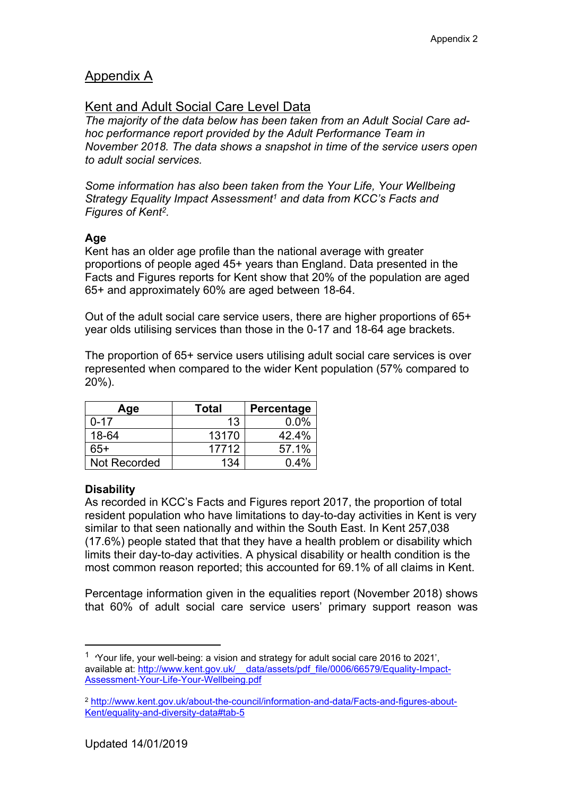# Appendix A

# Kent and Adult Social Care Level Data

*The majority of the data below has been taken from an Adult Social Care adhoc performance report provided by the Adult Performance Team in November 2018. The data shows a snapshot in time of the service users open to adult social services.*

*Some information has also been taken from the Your Life, Your Wellbeing Strategy Equality Impact Assessment<sup>1</sup> and data from KCC's Facts and Figures of Kent<sup>2</sup> .*

# **Age**

Kent has an older age profile than the national average with greater proportions of people aged 45+ years than England. Data presented in the Facts and Figures reports for Kent show that 20% of the population are aged 65+ and approximately 60% are aged between 18-64.

Out of the adult social care service users, there are higher proportions of 65+ year olds utilising services than those in the 0-17 and 18-64 age brackets.

The proportion of 65+ service users utilising adult social care services is over represented when compared to the wider Kent population (57% compared to 20%).

| Age          | <b>Total</b> | Percentage |
|--------------|--------------|------------|
| $0 - 17$     | 13           | $0.0\%$    |
| 18-64        | 13170        | 42.4%      |
| 65+          | 17712        | 57.1%      |
| Not Recorded | 134          | 0.4%       |

# **Disability**

As recorded in KCC's Facts and Figures report 2017, the proportion of total resident population who have limitations to day-to-day activities in Kent is very similar to that seen nationally and within the South East. In Kent 257,038 (17.6%) people stated that that they have a health problem or disability which limits their day-to-day activities. A physical disability or health condition is the most common reason reported; this accounted for 69.1% of all claims in Kent.

Percentage information given in the equalities report (November 2018) shows that 60% of adult social care service users' primary support reason was

<sup>1</sup> **'**Your life, your well-being: a vision and strategy for adult social care 2016 to 2021', available at: http://www.kent.gov.uk/ data/assets/pdf\_file/0006/66579/Equality-Impact-[Assessment-Your-Life-Your-Wellbeing.pdf](http://www.kent.gov.uk/__data/assets/pdf_file/0006/66579/Equality-Impact-Assessment-Your-Life-Your-Wellbeing.pdf)

<sup>2</sup> [http://www.kent.gov.uk/about-the-council/information-and-data/Facts-and-figures-about-](http://www.kent.gov.uk/about-the-council/information-and-data/Facts-and-figures-about-Kent/equality-and-diversity-data#tab-5)[Kent/equality-and-diversity-data#tab-5](http://www.kent.gov.uk/about-the-council/information-and-data/Facts-and-figures-about-Kent/equality-and-diversity-data#tab-5)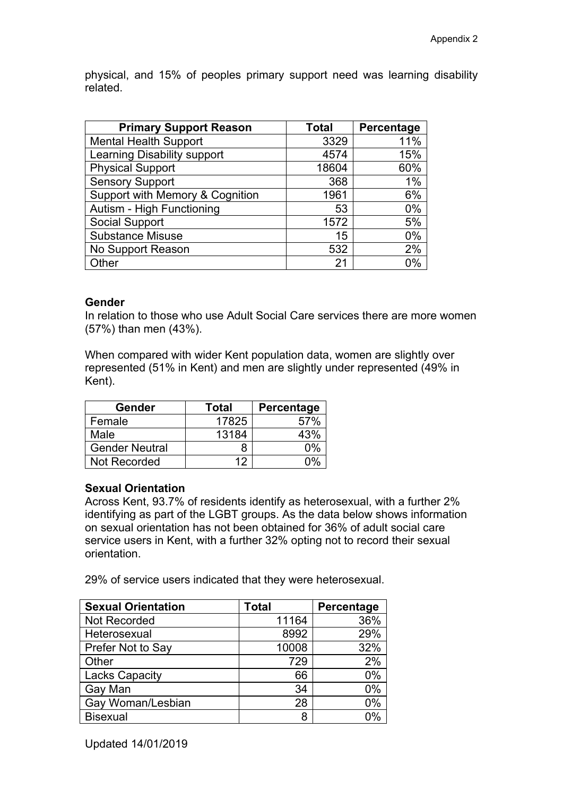physical, and 15% of peoples primary support need was learning disability related.

| <b>Primary Support Reason</b>   | <b>Total</b> | Percentage |
|---------------------------------|--------------|------------|
| <b>Mental Health Support</b>    | 3329         | 11%        |
| Learning Disability support     | 4574         | 15%        |
| <b>Physical Support</b>         | 18604        | 60%        |
| <b>Sensory Support</b>          | 368          | 1%         |
| Support with Memory & Cognition | 1961         | 6%         |
| Autism - High Functioning       | 53           | 0%         |
| Social Support                  | 1572         | 5%         |
| <b>Substance Misuse</b>         | 15           | 0%         |
| No Support Reason               | 532          | 2%         |
| Other                           | 21           | 0%         |

## **Gender**

In relation to those who use Adult Social Care services there are more women (57%) than men (43%).

When compared with wider Kent population data, women are slightly over represented (51% in Kent) and men are slightly under represented (49% in Kent).

| Gender                | <b>Total</b> | Percentage |
|-----------------------|--------------|------------|
| Female                | 17825        |            |
| Male                  | 13184        | 43%        |
| <b>Gender Neutral</b> |              | በ%         |
| Not Recorded          | 19           | ሰ%         |

## **Sexual Orientation**

Across Kent, 93.7% of residents identify as heterosexual, with a further 2% identifying as part of the LGBT groups. As the data below shows information on sexual orientation has not been obtained for 36% of adult social care service users in Kent, with a further 32% opting not to record their sexual orientation.

29% of service users indicated that they were heterosexual.

| <b>Sexual Orientation</b> | <b>Total</b> | Percentage |
|---------------------------|--------------|------------|
| <b>Not Recorded</b>       | 11164        | 36%        |
| Heterosexual              | 8992         | 29%        |
| Prefer Not to Say         | 10008        | 32%        |
| Other                     | 729          | 2%         |
| <b>Lacks Capacity</b>     | 66           | 0%         |
| Gay Man                   | 34           | 0%         |
| Gay Woman/Lesbian         | 28           | 0%         |
| <b>Bisexual</b>           | 8            | በ%         |

Updated 14/01/2019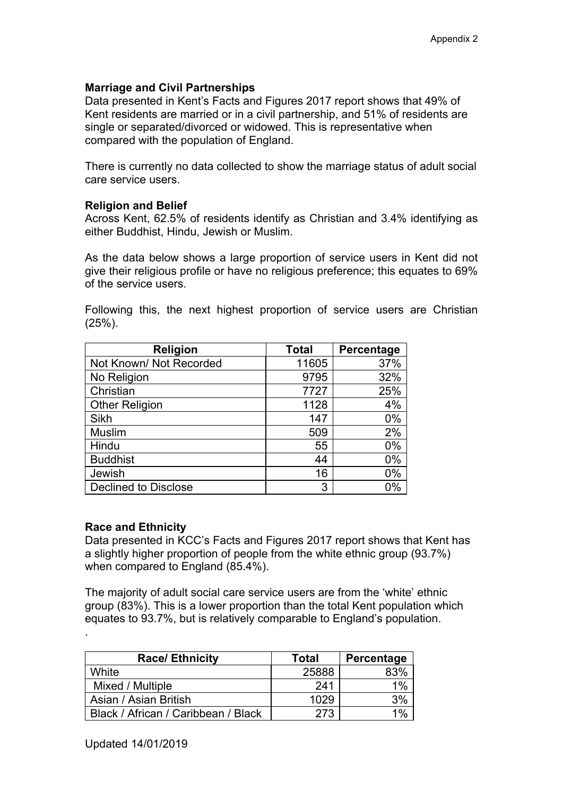## **Marriage and Civil Partnerships**

Data presented in Kent's Facts and Figures 2017 report shows that 49% of Kent residents are married or in a civil partnership, and 51% of residents are single or separated/divorced or widowed. This is representative when compared with the population of England.

There is currently no data collected to show the marriage status of adult social care service users.

### **Religion and Belief**

Across Kent, 62.5% of residents identify as Christian and 3.4% identifying as either Buddhist, Hindu, Jewish or Muslim.

As the data below shows a large proportion of service users in Kent did not give their religious profile or have no religious preference; this equates to 69% of the service users.

| <b>Religion</b>             | <b>Total</b> | Percentage |
|-----------------------------|--------------|------------|
| Not Known/ Not Recorded     | 11605        | 37%        |
| No Religion                 | 9795         | 32%        |
| Christian                   | 7727         | 25%        |
| <b>Other Religion</b>       | 1128         | 4%         |
| Sikh                        | 147          | 0%         |
| <b>Muslim</b>               | 509          | 2%         |
| Hindu                       | 55           | 0%         |
| <b>Buddhist</b>             | 44           | 0%         |
| Jewish                      | 16           | $0\%$      |
| <b>Declined to Disclose</b> | 3            | 0%         |

Following this, the next highest proportion of service users are Christian (25%).

### **Race and Ethnicity**

.

Data presented in KCC's Facts and Figures 2017 report shows that Kent has a slightly higher proportion of people from the white ethnic group (93.7%) when compared to England (85.4%).

The majority of adult social care service users are from the 'white' ethnic group (83%). This is a lower proportion than the total Kent population which equates to 93.7%, but is relatively comparable to England's population.

| <b>Race/Ethnicity</b>               | <b>Total</b> | Percentage |
|-------------------------------------|--------------|------------|
| White                               | 25888        | 83%        |
| Mixed / Multiple                    | 241          | 1%         |
| Asian / Asian British               | 1029         | 3%         |
| Black / African / Caribbean / Black | 273          | 1%         |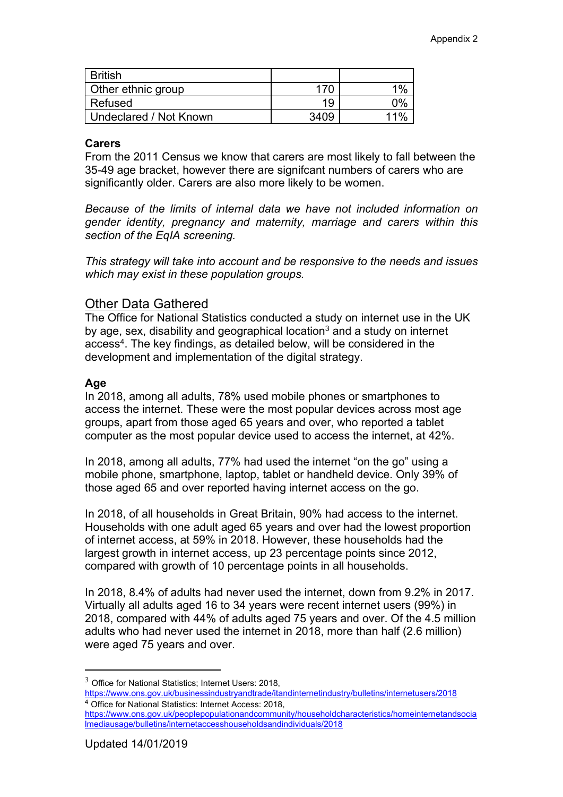| <b>British</b>         |      |       |
|------------------------|------|-------|
| Other ethnic group     | 170  | 1%    |
| Refused                | 19   | $0\%$ |
| Undeclared / Not Known | 3409 | 11%   |

### **Carers**

From the 2011 Census we know that carers are most likely to fall between the 35-49 age bracket, however there are signifcant numbers of carers who are significantly older. Carers are also more likely to be women.

*Because of the limits of internal data we have not included information on gender identity, pregnancy and maternity, marriage and carers within this section of the EqIA screening.*

*This strategy will take into account and be responsive to the needs and issues which may exist in these population groups.*

## Other Data Gathered

The Office for National Statistics conducted a study on internet use in the UK by age, sex, disability and geographical location<sup>3</sup> and a study on internet access<sup>4</sup>. The key findings, as detailed below, will be considered in the development and implementation of the digital strategy.

## **Age**

In 2018, among all adults, 78% used mobile phones or smartphones to access the internet. These were the most popular devices across most age groups, apart from those aged 65 years and over, who reported a tablet computer as the most popular device used to access the internet, at 42%.

In 2018, among all adults, 77% had used the internet "on the go" using a mobile phone, smartphone, laptop, tablet or handheld device. Only 39% of those aged 65 and over reported having internet access on the go.

In 2018, of all households in Great Britain, 90% had access to the internet. Households with one adult aged 65 years and over had the lowest proportion of internet access, at 59% in 2018. However, these households had the largest growth in internet access, up 23 percentage points since 2012, compared with growth of 10 percentage points in all households.

In 2018, 8.4% of adults had never used the internet, down from 9.2% in 2017. Virtually all adults aged 16 to 34 years were recent internet users (99%) in 2018, compared with 44% of adults aged 75 years and over. Of the 4.5 million adults who had never used the internet in 2018, more than half (2.6 million) were aged 75 years and over.

<sup>3</sup> Office for National Statistics; Internet Users: 2018,

<https://www.ons.gov.uk/businessindustryandtrade/itandinternetindustry/bulletins/internetusers/2018> <sup>4</sup> Office for National Statistics: Internet Access: 2018,

[https://www.ons.gov.uk/peoplepopulationandcommunity/householdcharacteristics/homeinternetandsocia](https://www.ons.gov.uk/peoplepopulationandcommunity/householdcharacteristics/homeinternetandsocialmediausage/bulletins/internetaccesshouseholdsandindividuals/2018) [lmediausage/bulletins/internetaccesshouseholdsandindividuals/2018](https://www.ons.gov.uk/peoplepopulationandcommunity/householdcharacteristics/homeinternetandsocialmediausage/bulletins/internetaccesshouseholdsandindividuals/2018)